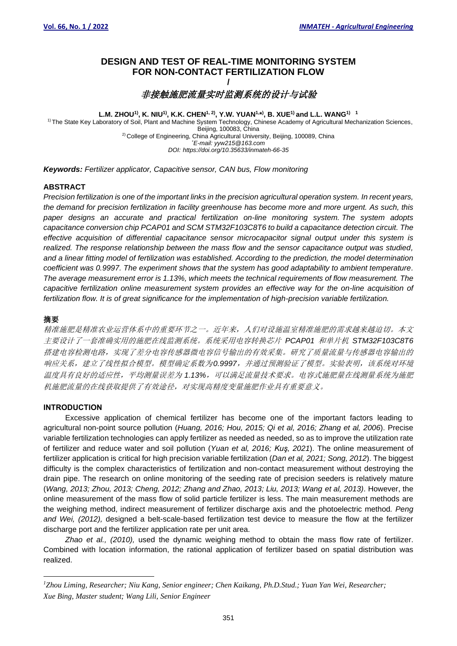# **DESIGN AND TEST OF REAL-TIME MONITORING SYSTEM FOR NON-CONTACT FERTILIZATION FLOW**

## **/** 非接触施肥流量实时监测系统的设计与试验

L.M. ZHOU<sup>1)</sup>, K. NIU<sup>1)</sup>, K.K. CHEN<sup>1, 2)</sup>, Y.W. YUAN<sup>1,\*)</sup>, B. XUE<sup>1)</sup> and L.L. WANG<sup>1)</sup> 1

 1) The State Key Laboratory of Soil, Plant and Machine System Technology, Chinese Academy of Agricultural Mechanization Sciences, Beijing, 100083, China <sup>2)</sup> College of Engineering, China Agricultural University, Beijing, 100089, China \**E-mail: yyw215@163.com DOI: https://doi.org/10.35633/inmateh-66-35*

*Keywords: Fertilizer applicator, Capacitive sensor, CAN bus, Flow monitoring*

#### **ABSTRACT**

*Precision fertilization is one of the important links in the precision agricultural operation system. In recent years, the demand for precision fertilization in facility greenhouse has become more and more urgent. As such, this paper designs an accurate and practical fertilization on-line monitoring system. The system adopts capacitance conversion chip PCAP01 and SCM STM32F103C8T6 to build a capacitance detection circuit. The effective acquisition of differential capacitance sensor microcapacitor signal output under this system is realized. The response relationship between the mass flow and the sensor capacitance output was studied, and a linear fitting model of fertilization was established. According to the prediction, the model determination coefficient was 0.9997. The experiment shows that the system has good adaptability to ambient temperature. The average measurement error is 1.13%, which meets the technical requirements of flow measurement. The capacitive fertilization online measurement system provides an effective way for the on-line acquisition of fertilization flow. It is of great significance for the implementation of high-precision variable fertilization.*

## 摘要

精准施肥是精准农业运营体系中的重要环节之一。近年来,人们对设施温室精准施肥的需求越来越迫切。本文 主要设计了一套准确实用的施肥在线监测系统。系统采用电容转换芯片 *PCAP01* 和单片机 *STM32F103C8T6* 搭建电容检测电路,实现了差分电容传感器微电容信号输出的有效采集。研究了质量流量与传感器电容输出的 响应关系,建立了线性拟合模型。模型确定系数为*0.9997*,并通过预测验证了模型。实验表明,该系统对环境 温度具有良好的适应性,平均测量误差为 *1.13%*,可以满足流量技术要求。电容式施肥量在线测量系统为施肥 机施肥流量的在线获取提供了有效途径,对实现高精度变量施肥作业具有重要意义。

## **INTRODUCTION**

Excessive application of chemical fertilizer has become one of the important factors leading to agricultural non-point source pollution (*Huang, 2016; Hou, 2015; Qi et al, 2016; Zhang et al, 2006*). Precise variable fertilization technologies can apply fertilizer as needed as needed, so as to improve the utilization rate of fertilizer and reduce water and soil pollution (*Yuan et al, 2016; Kuş, 2021*). The online measurement of fertilizer application is critical for high precision variable fertilization (*Dan et al, 2021; Song, 2012*). The biggest difficulty is the complex characteristics of fertilization and non-contact measurement without destroying the drain pipe. The research on online monitoring of the seeding rate of precision seeders is relatively mature (*Wang, 2013; Zhou, 2013; Cheng, 2012; Zhang and Zhao, 2013; Liu, 2013; Wang et al, 2013)*. However, the online measurement of the mass flow of solid particle fertilizer is less. The main measurement methods are the weighing method, indirect measurement of fertilizer discharge axis and the photoelectric method*. Peng and Wei, (2012),* designed a belt-scale-based fertilization test device to measure the flow at the fertilizer discharge port and the fertilizer application rate per unit area.

*Zhao et al., (2010),* used the dynamic weighing method to obtain the mass flow rate of fertilizer. Combined with location information, the rational application of fertilizer based on spatial distribution was realized.

*<sup>1</sup>Zhou Liming, Researcher; Niu Kang, Senior engineer; Chen Kaikang, Ph.D.Stud.; Yuan Yan Wei, Researcher; Xue Bing, Master student; Wang Lili, Senior Engineer*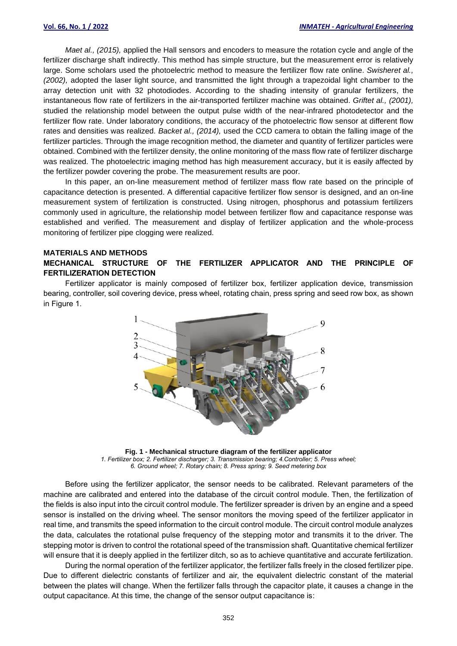*Maet al., (2015),* applied the Hall sensors and encoders to measure the rotation cycle and angle of the fertilizer discharge shaft indirectly. This method has simple structure, but the measurement error is relatively large. Some scholars used the photoelectric method to measure the fertilizer flow rate online. *Swisheret al., (2002),* adopted the laser light source, and transmitted the light through a trapezoidal light chamber to the array detection unit with 32 photodiodes. According to the shading intensity of granular fertilizers, the instantaneous flow rate of fertilizers in the air-transported fertilizer machine was obtained. *Griftet al., (2001),* studied the relationship model between the output pulse width of the near-infrared photodetector and the fertilizer flow rate. Under laboratory conditions, the accuracy of the photoelectric flow sensor at different flow rates and densities was realized. *Backet al., (2014),* used the CCD camera to obtain the falling image of the fertilizer particles. Through the image recognition method, the diameter and quantity of fertilizer particles were obtained. Combined with the fertilizer density, the online monitoring of the mass flow rate of fertilizer discharge was realized. The photoelectric imaging method has high measurement accuracy, but it is easily affected by the fertilizer powder covering the probe. The measurement results are poor.

In this paper, an on-line measurement method of fertilizer mass flow rate based on the principle of capacitance detection is presented. A differential capacitive fertilizer flow sensor is designed, and an on-line measurement system of fertilization is constructed. Using nitrogen, phosphorus and potassium fertilizers commonly used in agriculture, the relationship model between fertilizer flow and capacitance response was established and verified. The measurement and display of fertilizer application and the whole-process monitoring of fertilizer pipe clogging were realized.

## **MATERIALS AND METHODS MECHANICAL STRUCTURE OF THE FERTILIZER APPLICATOR AND THE PRINCIPLE OF FERTILIZERATION DETECTION**

Fertilizer applicator is mainly composed of fertilizer box, fertilizer application device, transmission bearing, controller, soil covering device, press wheel, rotating chain, press spring and seed row box, as shown in Figure 1.



**Fig. 1 - Mechanical structure diagram of the fertilizer applicator** *1. Fertilizer box; 2. Fertilizer discharger; 3. Transmission bearing; 4.Controller; 5. Press wheel; 6. Ground wheel; 7. Rotary chain; 8. Press spring; 9. Seed metering box*

Before using the fertilizer applicator, the sensor needs to be calibrated. Relevant parameters of the machine are calibrated and entered into the database of the circuit control module. Then, the fertilization of the fields is also input into the circuit control module. The fertilizer spreader is driven by an engine and a speed sensor is installed on the driving wheel. The sensor monitors the moving speed of the fertilizer applicator in real time, and transmits the speed information to the circuit control module. The circuit control module analyzes the data, calculates the rotational pulse frequency of the stepping motor and transmits it to the driver. The stepping motor is driven to control the rotational speed of the transmission shaft. Quantitative chemical fertilizer will ensure that it is deeply applied in the fertilizer ditch, so as to achieve quantitative and accurate fertilization.

During the normal operation of the fertilizer applicator, the fertilizer falls freely in the closed fertilizer pipe. Due to different dielectric constants of fertilizer and air, the equivalent dielectric constant of the material between the plates will change. When the fertilizer falls through the capacitor plate, it causes a change in the output capacitance. At this time, the change of the sensor output capacitance is: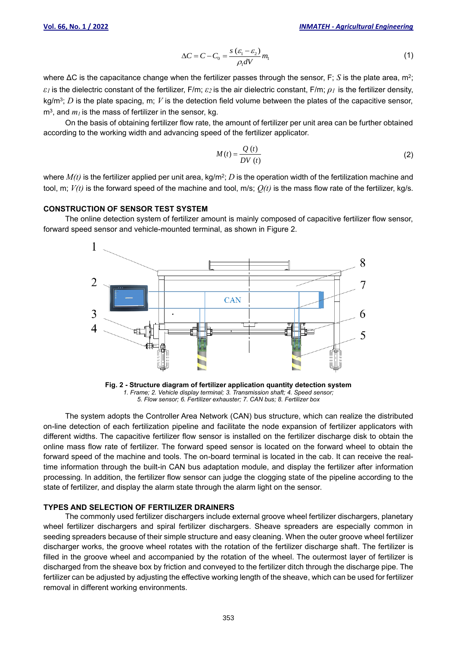$$
\Delta C = C - C_0 = \frac{s \left(\varepsilon_1 - \varepsilon_2\right)}{\rho_1 dV} m_1 \tag{1}
$$

where ΔC is the capacitance change when the fertilizer passes through the sensor, F; *S* is the plate area, m<sup>2</sup>; *ε<sup>1</sup>* is the dielectric constant of the fertilizer, F/m; *ε2* is the air dielectric constant, F/m; *ρ<sup>1</sup>* is the fertilizer density, kg/m<sup>3</sup> ; *D* is the plate spacing, m; *V* is the detection field volume between the plates of the capacitive sensor,  $m<sup>3</sup>$ , and  $m<sub>l</sub>$  is the mass of fertilizer in the sensor, kg.

On the basis of obtaining fertilizer flow rate, the amount of fertilizer per unit area can be further obtained according to the working width and advancing speed of the fertilizer applicator.

$$
M(t) = \frac{Q(t)}{DV(t)}
$$
 (2)

where  $M(t)$  is the fertilizer applied per unit area, kg/m²;  $D$  is the operation width of the fertilization machine and tool, m; *V(t)* is the forward speed of the machine and tool, m/s; *Q(t)* is the mass flow rate of the fertilizer, kg/s*.*

#### **CONSTRUCTION OF SENSOR TEST SYSTEM**

The online detection system of fertilizer amount is mainly composed of capacitive fertilizer flow sensor, forward speed sensor and vehicle-mounted terminal, as shown in Figure 2.



**Fig. 2 - Structure diagram of fertilizer application quantity detection system** *1. Frame; 2. Vehicle display terminal; 3. Transmission shaft; 4. Speed sensor; 5. Flow sensor; 6. Fertilizer exhauster; 7. CAN bus; 8. Fertilizer box*

The system adopts the Controller Area Network (CAN) bus structure, which can realize the distributed on-line detection of each fertilization pipeline and facilitate the node expansion of fertilizer applicators with different widths. The capacitive fertilizer flow sensor is installed on the fertilizer discharge disk to obtain the online mass flow rate of fertilizer. The forward speed sensor is located on the forward wheel to obtain the forward speed of the machine and tools. The on-board terminal is located in the cab. It can receive the realtime information through the built-in CAN bus adaptation module, and display the fertilizer after information processing. In addition, the fertilizer flow sensor can judge the clogging state of the pipeline according to the state of fertilizer, and display the alarm state through the alarm light on the sensor.

## **TYPES AND SELECTION OF FERTILIZER DRAINERS**

The commonly used fertilizer dischargers include external groove wheel fertilizer dischargers, planetary wheel fertilizer dischargers and spiral fertilizer dischargers. Sheave spreaders are especially common in seeding spreaders because of their simple structure and easy cleaning. When the outer groove wheel fertilizer discharger works, the groove wheel rotates with the rotation of the fertilizer discharge shaft. The fertilizer is filled in the groove wheel and accompanied by the rotation of the wheel. The outermost layer of fertilizer is discharged from the sheave box by friction and conveyed to the fertilizer ditch through the discharge pipe. The fertilizer can be adjusted by adjusting the effective working length of the sheave, which can be used for fertilizer removal in different working environments.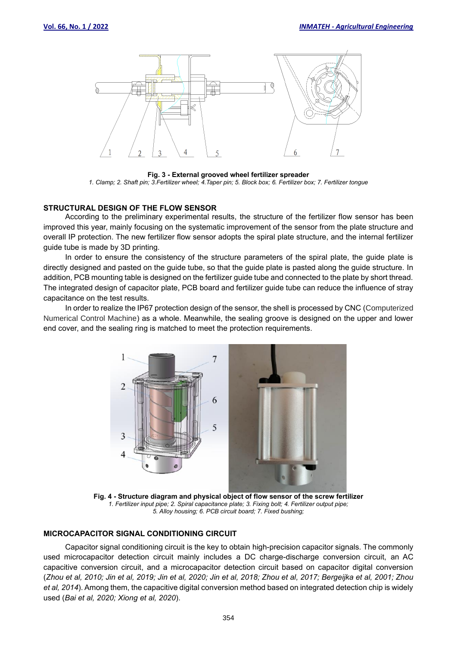

**Fig. 3 - External grooved wheel fertilizer spreader** *1. Clamp; 2. Shaft pin; 3.Fertilizer wheel; 4.Taper pin; 5. Block box; 6. Fertilizer box; 7. Fertilizer tongue*

## **STRUCTURAL DESIGN OF THE FLOW SENSOR**

According to the preliminary experimental results, the structure of the fertilizer flow sensor has been improved this year, mainly focusing on the systematic improvement of the sensor from the plate structure and overall IP protection. The new fertilizer flow sensor adopts the spiral plate structure, and the internal fertilizer guide tube is made by 3D printing.

In order to ensure the consistency of the structure parameters of the spiral plate, the guide plate is directly designed and pasted on the guide tube, so that the guide plate is pasted along the guide structure. In addition, PCB mounting table is designed on the fertilizer guide tube and connected to the plate by short thread. The integrated design of capacitor plate, PCB board and fertilizer guide tube can reduce the influence of stray capacitance on the test results.

In order to realize the IP67 protection design of the sensor, the shell is processed by CNC (Computerized Numerical Control Machine) as a whole. Meanwhile, the sealing groove is designed on the upper and lower end cover, and the sealing ring is matched to meet the protection requirements.



**Fig. 4 - Structure diagram and physical object of flow sensor of the screw fertilizer** *1. Fertilizer input pipe; 2. Spiral capacitance plate; 3. Fixing bolt; 4. Fertilizer output pipe; 5. Alloy housing; 6. PCB circuit board; 7. Fixed bushing;*

#### **MICROCAPACITOR SIGNAL CONDITIONING CIRCUIT**

Capacitor signal conditioning circuit is the key to obtain high-precision capacitor signals. The commonly used microcapacitor detection circuit mainly includes a DC charge-discharge conversion circuit, an AC capacitive conversion circuit, and a microcapacitor detection circuit based on capacitor digital conversion (*Zhou et al, 2010; Jin et al, 2019; Jin et al, 2020; Jin et al, 2018; Zhou et al, 2017; Bergeijka et al, 2001; Zhou et al, 2014*). Among them, the capacitive digital conversion method based on integrated detection chip is widely used (*Bai et al, 2020; Xiong et al, 2020*).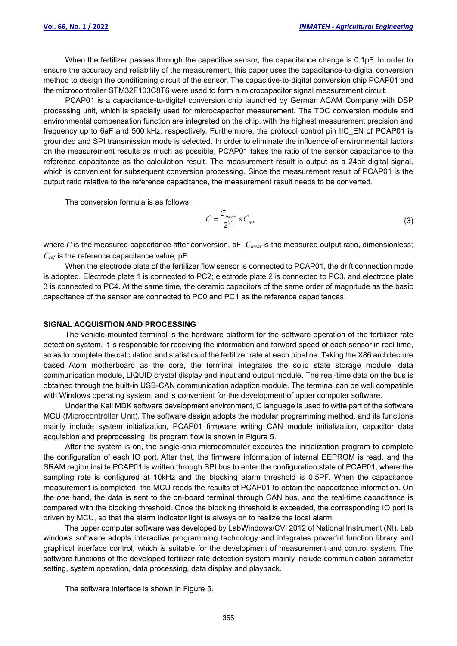When the fertilizer passes through the capacitive sensor, the capacitance change is 0.1pF. In order to ensure the accuracy and reliability of the measurement, this paper uses the capacitance-to-digital conversion method to design the conditioning circuit of the sensor. The capacitive-to-digital conversion chip PCAP01 and the microcontroller STM32F103C8T6 were used to form a microcapacitor signal measurement circuit.

PCAP01 is a capacitance-to-digital conversion chip launched by German ACAM Company with DSP processing unit, which is specially used for microcapacitor measurement. The TDC conversion module and environmental compensation function are integrated on the chip, with the highest measurement precision and frequency up to 6aF and 500 kHz, respectively. Furthermore, the protocol control pin IIC\_EN of PCAP01 is grounded and SPI transmission mode is selected. In order to eliminate the influence of environmental factors on the measurement results as much as possible, PCAP01 takes the ratio of the sensor capacitance to the reference capacitance as the calculation result. The measurement result is output as a 24bit digital signal, which is convenient for subsequent conversion processing. Since the measurement result of PCAP01 is the output ratio relative to the reference capacitance, the measurement result needs to be converted.

The conversion formula is as follows:

$$
C = \frac{C_{\text{mear}}}{2^{21}} \times C_{\text{ref}}
$$
 (3)

where *C* is the measured capacitance after conversion, pF;  $C_{\text{mean}}$  is the measured output ratio, dimensionless; *Cref* is the reference capacitance value, pF.

When the electrode plate of the fertilizer flow sensor is connected to PCAP01, the drift connection mode is adopted. Electrode plate 1 is connected to PC2; electrode plate 2 is connected to PC3, and electrode plate 3 is connected to PC4. At the same time, the ceramic capacitors of the same order of magnitude as the basic capacitance of the sensor are connected to PC0 and PC1 as the reference capacitances.

#### **SIGNAL ACQUISITION AND PROCESSING**

The vehicle-mounted terminal is the hardware platform for the software operation of the fertilizer rate detection system. It is responsible for receiving the information and forward speed of each sensor in real time, so as to complete the calculation and statistics of the fertilizer rate at each pipeline. Taking the X86 architecture based Atom motherboard as the core, the terminal integrates the solid state storage module, data communication module, LIQUID crystal display and input and output module. The real-time data on the bus is obtained through the built-in USB-CAN communication adaption module. The terminal can be well compatible with Windows operating system, and is convenient for the development of upper computer software.

Under the Keil MDK software development environment, C language is used to write part of the software MCU (Microcontroller Unit). The software design adopts the modular programming method, and its functions mainly include system initialization, PCAP01 firmware writing CAN module initialization, capacitor data acquisition and preprocessing. Its program flow is shown in Figure 5.

After the system is on, the single-chip microcomputer executes the initialization program to complete the configuration of each IO port. After that, the firmware information of internal EEPROM is read, and the SRAM region inside PCAP01 is written through SPI bus to enter the configuration state of PCAP01, where the sampling rate is configured at 10kHz and the blocking alarm threshold is 0.5PF. When the capacitance measurement is completed, the MCU reads the results of PCAP01 to obtain the capacitance information. On the one hand, the data is sent to the on-board terminal through CAN bus, and the real-time capacitance is compared with the blocking threshold. Once the blocking threshold is exceeded, the corresponding IO port is driven by MCU, so that the alarm indicator light is always on to realize the local alarm.

The upper computer software was developed by LabWindows/CVI 2012 of National Instrument (NI). Lab windows software adopts interactive programming technology and integrates powerful function library and graphical interface control, which is suitable for the development of measurement and control system. The software functions of the developed fertilizer rate detection system mainly include communication parameter setting, system operation, data processing, data display and playback.

The software interface is shown in Figure 5.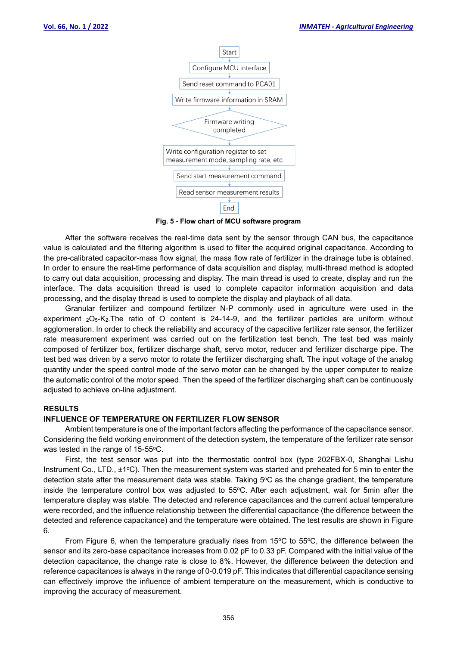

**Fig. 5 - Flow chart of MCU software program**

After the software receives the real-time data sent by the sensor through CAN bus, the capacitance value is calculated and the filtering algorithm is used to filter the acquired original capacitance. According to the pre-calibrated capacitor-mass flow signal, the mass flow rate of fertilizer in the drainage tube is obtained. In order to ensure the real-time performance of data acquisition and display, multi-thread method is adopted to carry out data acquisition, processing and display. The main thread is used to create, display and run the interface. The data acquisition thread is used to complete capacitor information acquisition and data processing, and the display thread is used to complete the display and playback of all data.

Granular fertilizer and compound fertilizer N-P commonly used in agriculture were used in the experiment <sup>2</sup>O5-K2.The ratio of O content is 24-14-9, and the fertilizer particles are uniform without agglomeration. In order to check the reliability and accuracy of the capacitive fertilizer rate sensor, the fertilizer rate measurement experiment was carried out on the fertilization test bench. The test bed was mainly composed of fertilizer box, fertilizer discharge shaft, servo motor, reducer and fertilizer discharge pipe. The test bed was driven by a servo motor to rotate the fertilizer discharging shaft. The input voltage of the analog quantity under the speed control mode of the servo motor can be changed by the upper computer to realize the automatic control of the motor speed. Then the speed of the fertilizer discharging shaft can be continuously adjusted to achieve on-line adjustment.

### **RESULTS**

#### **INFLUENCE OF TEMPERATURE ON FERTILIZER FLOW SENSOR**

Ambient temperature is one of the important factors affecting the performance of the capacitance sensor. Considering the field working environment of the detection system, the temperature of the fertilizer rate sensor was tested in the range of 15-55°C.

First, the test sensor was put into the thermostatic control box (type 202FBX-0, Shanghai Lishu Instrument Co., LTD., ±1°C). Then the measurement system was started and preheated for 5 min to enter the detection state after the measurement data was stable. Taking 5°C as the change gradient, the temperature inside the temperature control box was adjusted to 55°C. After each adjustment, wait for 5min after the temperature display was stable. The detected and reference capacitances and the current actual temperature were recorded, and the influence relationship between the differential capacitance (the difference between the detected and reference capacitance) and the temperature were obtained. The test results are shown in Figure 6.

From Figure 6, when the temperature gradually rises from 15 $\degree$ C to 55 $\degree$ C, the difference between the sensor and its zero-base capacitance increases from 0.02 pF to 0.33 pF. Compared with the initial value of the detection capacitance, the change rate is close to 8%. However, the difference between the detection and reference capacitances is always in the range of 0-0.019 pF. This indicates that differential capacitance sensing can effectively improve the influence of ambient temperature on the measurement, which is conductive to improving the accuracy of measurement.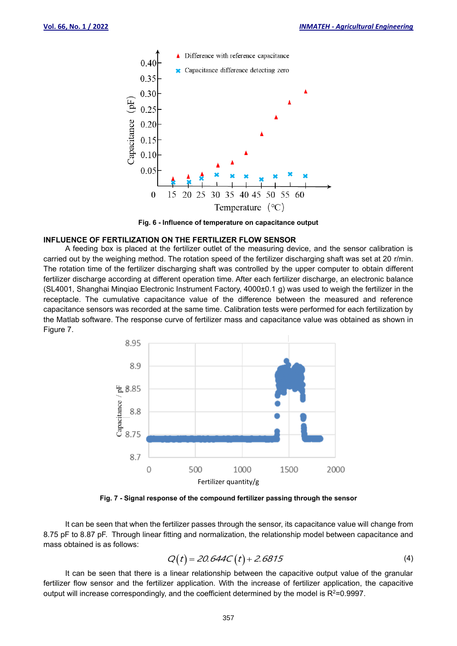

**Fig. 6 - Influence of temperature on capacitance output**

#### **INFLUENCE OF FERTILIZATION ON THE FERTILIZER FLOW SENSOR**

A feeding box is placed at the fertilizer outlet of the measuring device, and the sensor calibration is carried out by the weighing method. The rotation speed of the fertilizer discharging shaft was set at 20 r/min. The rotation time of the fertilizer discharging shaft was controlled by the upper computer to obtain different fertilizer discharge according at different operation time. After each fertilizer discharge, an electronic balance (SL4001, Shanghai Minqiao Electronic Instrument Factory, 4000±0.1 g) was used to weigh the fertilizer in the receptacle. The cumulative capacitance value of the difference between the measured and reference capacitance sensors was recorded at the same time. Calibration tests were performed for each fertilization by the Matlab software. The response curve of fertilizer mass and capacitance value was obtained as shown in Figure 7.



**Fig. 7 - Signal response of the compound fertilizer passing through the sensor**

It can be seen that when the fertilizer passes through the sensor, its capacitance value will change from 8.75 pF to 8.87 pF. Through linear fitting and normalization, the relationship model between capacitance and mass obtained is as follows:

$$
Q(t) = 20.644C(t) + 2.6815
$$
 (4)

It can be seen that there is a linear relationship between the capacitive output value of the granular fertilizer flow sensor and the fertilizer application. With the increase of fertilizer application, the capacitive output will increase correspondingly, and the coefficient determined by the model is  $R^2$ =0.9997.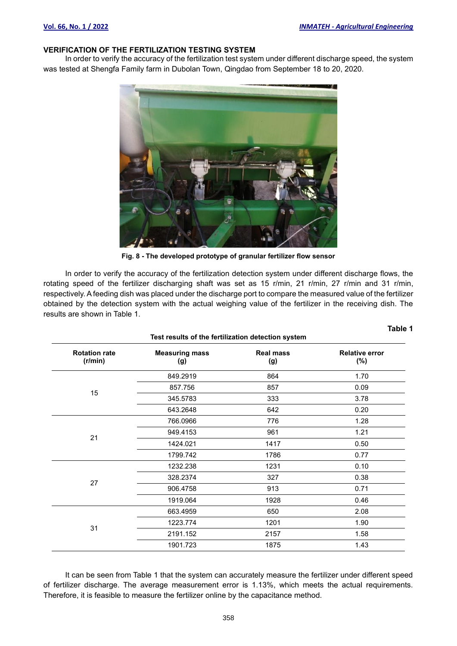**Table 1**

## **VERIFICATION OF THE FERTILIZATION TESTING SYSTEM**

In order to verify the accuracy of the fertilization test system under different discharge speed, the system was tested at Shengfa Family farm in Dubolan Town, Qingdao from September 18 to 20, 2020.



**Fig. 8 - The developed prototype of granular fertilizer flow sensor**

In order to verify the accuracy of the fertilization detection system under different discharge flows, the rotating speed of the fertilizer discharging shaft was set as 15 r/min, 21 r/min, 27 r/min and 31 r/min, respectively. Afeeding dish was placed under the discharge port to compare the measured value of the fertilizer obtained by the detection system with the actual weighing value of the fertilizer in the receiving dish. The results are shown in Table 1.

| Test results of the fertilization detection system |  |  |  |
|----------------------------------------------------|--|--|--|
|----------------------------------------------------|--|--|--|

| <b>Rotation rate</b><br>(r/min) | <b>Measuring mass</b><br>(g) | <b>Real mass</b><br>(g) | <b>Relative error</b><br>$(\% )$ |
|---------------------------------|------------------------------|-------------------------|----------------------------------|
| 15                              | 849.2919                     | 864                     | 1.70                             |
|                                 | 857.756                      | 857                     | 0.09                             |
|                                 | 345.5783                     | 333                     | 3.78                             |
|                                 | 643.2648                     | 642                     | 0.20                             |
|                                 | 766.0966                     | 776                     | 1.28                             |
| 21                              | 949.4153                     | 961                     | 1.21                             |
|                                 | 1424.021                     | 1417                    | 0.50                             |
|                                 | 1799.742                     | 1786                    | 0.77                             |
|                                 | 1232.238                     | 1231                    | 0.10                             |
| 27                              | 328.2374                     | 327                     | 0.38                             |
|                                 | 906.4758                     | 913                     | 0.71                             |
|                                 | 1919.064                     | 1928                    | 0.46                             |
|                                 | 663.4959                     | 650                     | 2.08                             |
|                                 | 1223.774                     | 1201                    | 1.90                             |
| 31                              | 2191.152                     | 2157                    | 1.58                             |
|                                 | 1901.723                     | 1875                    | 1.43                             |

It can be seen from Table 1 that the system can accurately measure the fertilizer under different speed of fertilizer discharge. The average measurement error is 1.13%, which meets the actual requirements. Therefore, it is feasible to measure the fertilizer online by the capacitance method.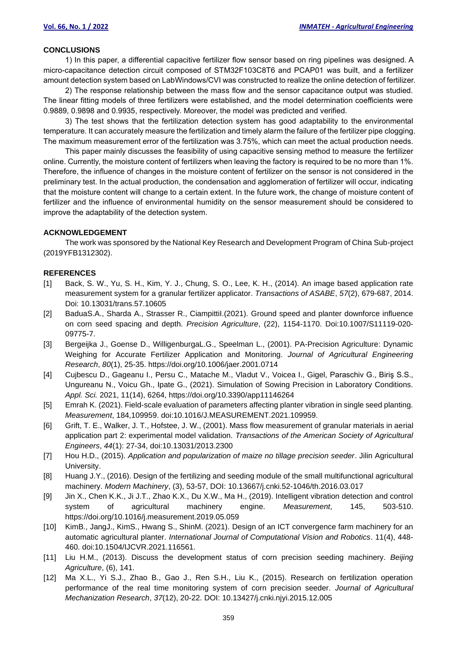#### **CONCLUSIONS**

1) In this paper, a differential capacitive fertilizer flow sensor based on ring pipelines was designed. A micro-capacitance detection circuit composed of STM32F103C8T6 and PCAP01 was built, and a fertilizer amount detection system based on LabWindows/CVI was constructed to realize the online detection of fertilizer.

2) The response relationship between the mass flow and the sensor capacitance output was studied. The linear fitting models of three fertilizers were established, and the model determination coefficients were 0.9889, 0.9898 and 0.9935, respectively. Moreover, the model was predicted and verified.

3) The test shows that the fertilization detection system has good adaptability to the environmental temperature. It can accurately measure the fertilization and timely alarm the failure of the fertilizer pipe clogging. The maximum measurement error of the fertilization was 3.75%, which can meet the actual production needs.

This paper mainly discusses the feasibility of using capacitive sensing method to measure the fertilizer online. Currently, the moisture content of fertilizers when leaving the factory is required to be no more than 1%. Therefore, the influence of changes in the moisture content of fertilizer on the sensor is not considered in the preliminary test. In the actual production, the condensation and agglomeration of fertilizer will occur, indicating that the moisture content will change to a certain extent. In the future work, the change of moisture content of fertilizer and the influence of environmental humidity on the sensor measurement should be considered to improve the adaptability of the detection system.

#### **ACKNOWLEDGEMENT**

The work was sponsored by the National Key Research and Development Program of China Sub-project (2019YFB1312302).

#### **REFERENCES**

- [1] Back, S. W., Yu, S. H., Kim, Y. J., Chung, S. O., Lee, K. H., (2014). An image based application rate measurement system for a granular fertilizer applicator. *Transactions of ASABE*, *57*(2), 679-687, 2014. Doi: 10.13031/trans.57.10605
- [2] BaduaS.A., Sharda A., Strasser R., CiampittiI.(2021). Ground speed and planter downforce influence on corn seed spacing and depth. *Precision Agriculture*, (22), 1154-1170. Doi:10.1007/S11119-020- 09775-7.
- [3] Bergeijka J., Goense D., WilligenburgaL.G., Speelman L., (2001). PA-Precision Agriculture: Dynamic Weighing for Accurate Fertilizer Application and Monitoring. *Journal of Agricultural Engineering Research*, *80*(1), 25-35. https://doi.org/10.1006/jaer.2001.0714
- [4] Cujbescu D., Gageanu I., Persu C., Matache M., Vladut V., Voicea I., Gigel, Paraschiv G., Biriş S.S., Ungureanu N., Voicu Gh., Ipate G., (2021). Simulation of Sowing Precision in Laboratory Conditions. *Appl. Sci.* 2021, 11(14), 6264, https://doi.org/10.3390/app11146264
- [5] Emrah K. (2021). Field-scale evaluation of parameters affecting planter vibration in single seed planting. *Measurement*, 184,109959. doi:10.1016/J.MEASUREMENT.2021.109959.
- [6] Grift, T. E., Walker, J. T., Hofstee, J. W., (2001). Mass flow measurement of granular materials in aerial application part 2: experimental model validation. *Transactions of the American Society of Agricultural Engineers*, *44*(1): 27-34, doi:10.13031/2013.2300
- [7] Hou H.D., (2015). *Application and popularization of maize no tillage precision seeder*. Jilin Agricultural University.
- [8] Huang J.Y., (2016). Design of the fertilizing and seeding module of the small multifunctional agricultural machinery. *Modern Machinery*, (3), 53-57, DOI: 10.13667/j.cnki.52-1046/th.2016.03.017
- [9] Jin X., Chen K.K., Ji J.T., Zhao K.X., Du X.W., Ma H., (2019). Intelligent vibration detection and control system of agricultural machinery engine. *Measurement*, 145, 503-510. https://doi.org/10.1016/j.measurement.2019.05.059
- [10] KimB., JangJ., KimS., Hwang S., ShinM. (2021). Design of an ICT convergence farm machinery for an automatic agricultural planter. *International Journal of Computational Vision and Robotics*. 11(4), 448- 460. doi:10.1504/IJCVR.2021.116561.
- [11] Liu H.M., (2013). Discuss the development status of corn precision seeding machinery. *Beijing Agriculture*, (6), 141.
- [12] Ma X.L., Yi S.J., Zhao B., Gao J., Ren S.H., Liu K., (2015). Research on fertilization operation performance of the real time monitoring system of corn precision seeder. *Journal of Agricultural Mechanization Research*, *37*(12), 20-22. DOI: 10.13427/j.cnki.njyi.2015.12.005